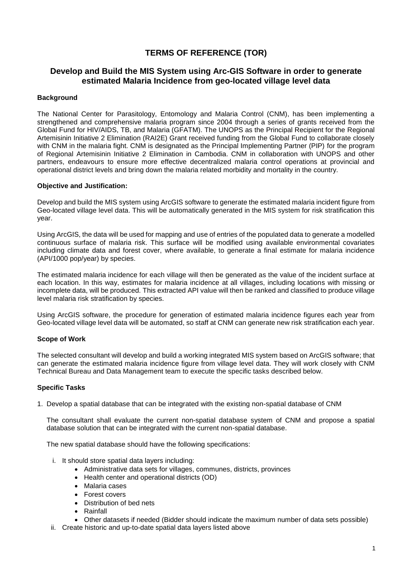# **TERMS OF REFERENCE (TOR)**

# **Develop and Build the MIS System using Arc-GIS Software in order to generate estimated Malaria Incidence from geo-located village level data**

# **Background**

The National Center for Parasitology, Entomology and Malaria Control (CNM), has been implementing a strengthened and comprehensive malaria program since 2004 through a series of grants received from the Global Fund for HIV/AIDS, TB, and Malaria (GFATM). The UNOPS as the Principal Recipient for the Regional Artemisinin Initiative 2 Elimination (RAI2E) Grant received funding from the Global Fund to collaborate closely with CNM in the malaria fight. CNM is designated as the Principal Implementing Partner (PIP) for the program of Regional Artemisinin Initiative 2 Elimination in Cambodia. CNM in collaboration with UNOPS and other partners, endeavours to ensure more effective decentralized malaria control operations at provincial and operational district levels and bring down the malaria related morbidity and mortality in the country.

### **Objective and Justification:**

Develop and build the MIS system using ArcGIS software to generate the estimated malaria incident figure from Geo-located village level data. This will be automatically generated in the MIS system for risk stratification this year.

Using ArcGIS, the data will be used for mapping and use of entries of the populated data to generate a modelled continuous surface of malaria risk. This surface will be modified using available environmental covariates including climate data and forest cover, where available, to generate a final estimate for malaria incidence (API/1000 pop/year) by species.

The estimated malaria incidence for each village will then be generated as the value of the incident surface at each location. In this way, estimates for malaria incidence at all villages, including locations with missing or incomplete data, will be produced. This extracted API value will then be ranked and classified to produce village level malaria risk stratification by species.

Using ArcGIS software, the procedure for generation of estimated malaria incidence figures each year from Geo-located village level data will be automated, so staff at CNM can generate new risk stratification each year.

# **Scope of Work**

The selected consultant will develop and build a working integrated MIS system based on ArcGIS software; that can generate the estimated malaria incidence figure from village level data. They will work closely with CNM Technical Bureau and Data Management team to execute the specific tasks described below.

### **Specific Tasks**

1. Develop a spatial database that can be integrated with the existing non-spatial database of CNM

The consultant shall evaluate the current non-spatial database system of CNM and propose a spatial database solution that can be integrated with the current non-spatial database.

The new spatial database should have the following specifications:

- i. It should store spatial data layers including:
	- Administrative data sets for villages, communes, districts, provinces
	- Health center and operational districts (OD)
	- Malaria cases
	- Forest covers
	- Distribution of bed nets
	- Rainfall
	- Other datasets if needed (Bidder should indicate the maximum number of data sets possible)
- ii. Create historic and up-to-date spatial data layers listed above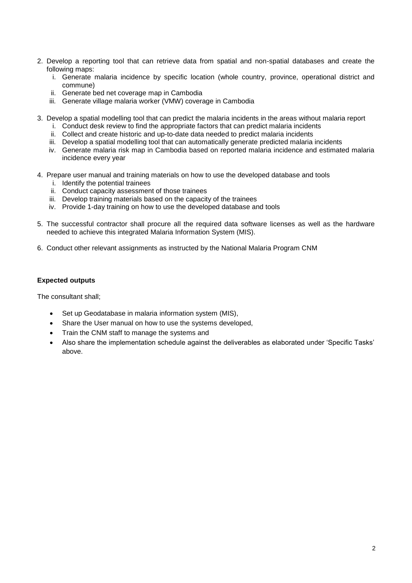- 2. Develop a reporting tool that can retrieve data from spatial and non-spatial databases and create the following maps:
	- i. Generate malaria incidence by specific location (whole country, province, operational district and commune)
	- ii. Generate bed net coverage map in Cambodia
	- iii. Generate village malaria worker (VMW) coverage in Cambodia
- 3. Develop a spatial modelling tool that can predict the malaria incidents in the areas without malaria report
	- i. Conduct desk review to find the appropriate factors that can predict malaria incidents
	- ii. Collect and create historic and up-to-date data needed to predict malaria incidents
	- iii. Develop a spatial modelling tool that can automatically generate predicted malaria incidents
	- iv. Generate malaria risk map in Cambodia based on reported malaria incidence and estimated malaria incidence every year
- 4. Prepare user manual and training materials on how to use the developed database and tools
	- i. Identify the potential trainees
	- ii. Conduct capacity assessment of those trainees
	- iii. Develop training materials based on the capacity of the trainees
	- iv. Provide 1-day training on how to use the developed database and tools
- 5. The successful contractor shall procure all the required data software licenses as well as the hardware needed to achieve this integrated Malaria Information System (MIS).
- 6. Conduct other relevant assignments as instructed by the National Malaria Program CNM

### **Expected outputs**

The consultant shall;

- Set up Geodatabase in malaria information system (MIS),
- Share the User manual on how to use the systems developed,
- Train the CNM staff to manage the systems and
- Also share the implementation schedule against the deliverables as elaborated under 'Specific Tasks' above.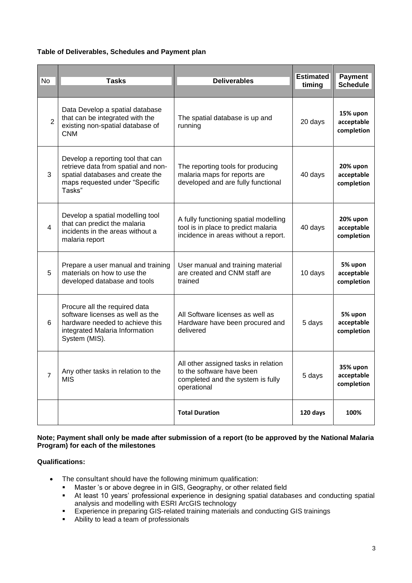# **Table of Deliverables, Schedules and Payment plan**

| <b>No</b>      | <b>Tasks</b>                                                                                                                                             | <b>Deliverables</b>                                                                                                   | <b>Estimated</b><br>timing | Payment<br><b>Schedule</b>           |
|----------------|----------------------------------------------------------------------------------------------------------------------------------------------------------|-----------------------------------------------------------------------------------------------------------------------|----------------------------|--------------------------------------|
| $\overline{2}$ | Data Develop a spatial database<br>that can be integrated with the<br>existing non-spatial database of<br><b>CNM</b>                                     | The spatial database is up and<br>running                                                                             | 20 days                    | 15% upon<br>acceptable<br>completion |
| 3              | Develop a reporting tool that can<br>retrieve data from spatial and non-<br>spatial databases and create the<br>maps requested under "Specific<br>Tasks" | The reporting tools for producing<br>malaria maps for reports are<br>developed and are fully functional               | 40 days                    | 20% upon<br>acceptable<br>completion |
| 4              | Develop a spatial modelling tool<br>that can predict the malaria<br>incidents in the areas without a<br>malaria report                                   | A fully functioning spatial modelling<br>tool is in place to predict malaria<br>incidence in areas without a report.  | 40 days                    | 20% upon<br>acceptable<br>completion |
| 5              | Prepare a user manual and training<br>materials on how to use the<br>developed database and tools                                                        | User manual and training material<br>are created and CNM staff are<br>trained                                         | 10 days                    | 5% upon<br>acceptable<br>completion  |
| 6              | Procure all the required data<br>software licenses as well as the<br>hardware needed to achieve this<br>integrated Malaria Information<br>System (MIS).  | All Software licenses as well as<br>Hardware have been procured and<br>delivered                                      | 5 days                     | 5% upon<br>acceptable<br>completion  |
| $\overline{7}$ | Any other tasks in relation to the<br><b>MIS</b>                                                                                                         | All other assigned tasks in relation<br>to the software have been<br>completed and the system is fully<br>operational | 5 days                     | 35% upon<br>acceptable<br>completion |
|                |                                                                                                                                                          | <b>Total Duration</b>                                                                                                 | 120 days                   | 100%                                 |

# **Note; Payment shall only be made after submission of a report (to be approved by the National Malaria Program) for each of the milestones**

# **Qualifications:**

- The consultant should have the following minimum qualification:
	- Master 's or above degree in in GIS, Geography, or other related field
	- At least 10 years' professional experience in designing spatial databases and conducting spatial analysis and modelling with ESRI ArcGIS technology
	- Experience in preparing GIS-related training materials and conducting GIS trainings
	- Ability to lead a team of professionals